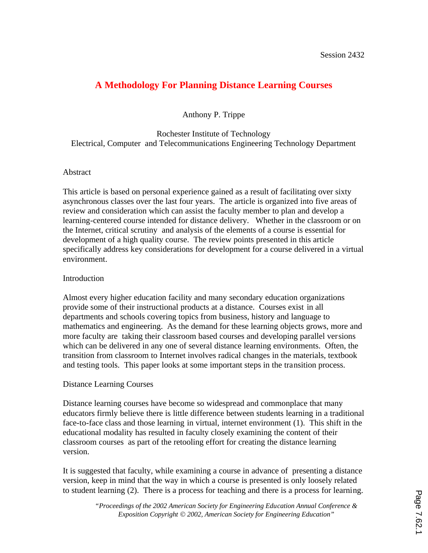# **A Methodology For Planning Distance Learning Courses**

Anthony P. Trippe

Rochester Institute of Technology Electrical, Computer and Telecommunications Engineering Technology Department

# Abstract

This article is based on personal experience gained as a result of facilitating over sixty asynchronous classes over the last four years. The article is organized into five areas of review and consideration which can assist the faculty member to plan and develop a learning-centered course intended for distance delivery. Whether in the classroom or on the Internet, critical scrutiny and analysis of the elements of a course is essential for development of a high quality course. The review points presented in this article specifically address key considerations for development for a course delivered in a virtual environment.

# Introduction

Almost every higher education facility and many secondary education organizations provide some of their instructional products at a distance. Courses exist in all departments and schools covering topics from business, history and language to mathematics and engineering. As the demand for these learning objects grows, more and more faculty are taking their classroom based courses and developing parallel versions which can be delivered in any one of several distance learning environments. Often, the transition from classroom to Internet involves radical changes in the materials, textbook and testing tools. This paper looks at some important steps in the transition process.

# Distance Learning Courses

Distance learning courses have become so widespread and commonplace that many educators firmly believe there is little difference between students learning in a traditional face-to-face class and those learning in virtual, internet environment (1). This shift in the educational modality has resulted in faculty closely examining the content of their classroom courses as part of the retooling effort for creating the distance learning version.

It is suggested that faculty, while examining a course in advance of presenting a distance version, keep in mind that the way in which a course is presented is only loosely related to student learning (2). There is a process for teaching and there is a process for learning.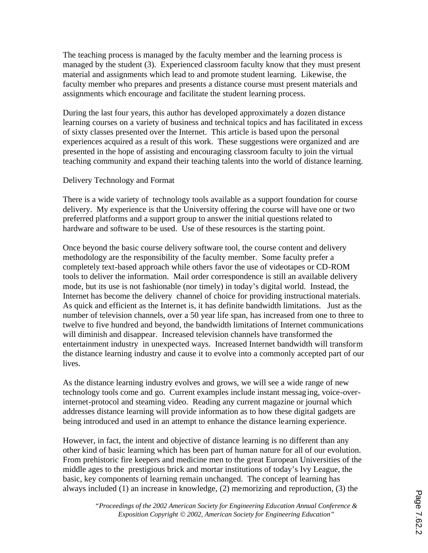The teaching process is managed by the faculty member and the learning process is managed by the student (3). Experienced classroom faculty know that they must present material and assignments which lead to and promote student learning. Likewise, the faculty member who prepares and presents a distance course must present materials and assignments which encourage and facilitate the student learning process.

During the last four years, this author has developed approximately a dozen distance learning courses on a variety of business and technical topics and has facilitated in excess of sixty classes presented over the Internet. This article is based upon the personal experiences acquired as a result of this work. These suggestions were organized and are presented in the hope of assisting and encouraging classroom faculty to join the virtual teaching community and expand their teaching talents into the world of distance learning.

#### Delivery Technology and Format

There is a wide variety of technology tools available as a support foundation for course delivery. My experience is that the University offering the course will have one or two preferred platforms and a support group to answer the initial questions related to hardware and software to be used. Use of these resources is the starting point.

Once beyond the basic course delivery software tool, the course content and delivery methodology are the responsibility of the faculty member. Some faculty prefer a completely text-based approach while others favor the use of videotapes or CD-ROM tools to deliver the information. Mail order correspondence is still an available delivery mode, but its use is not fashionable (nor timely) in today's digital world. Instead, the Internet has become the delivery channel of choice for providing instructional materials. As quick and efficient as the Internet is, it has definite bandwidth limitations. Just as the number of television channels, over a 50 year life span, has increased from one to three to twelve to five hundred and beyond, the bandwidth limitations of Internet communications will diminish and disappear. Increased television channels have transformed the entertainment industry in unexpected ways. Increased Internet bandwidth will transform the distance learning industry and cause it to evolve into a commonly accepted part of our lives.

As the distance learning industry evolves and grows, we will see a wide range of new technology tools come and go. Current examples include instant messaging, voice-overinternet-protocol and steaming video. Reading any current magazine or journal which addresses distance learning will provide information as to how these digital gadgets are being introduced and used in an attempt to enhance the distance learning experience.

However, in fact, the intent and objective of distance learning is no different than any other kind of basic learning which has been part of human nature for all of our evolution. From prehistoric fire keepers and medicine men to the great European Universities of the middle ages to the prestigious brick and mortar institutions of today's Ivy League, the basic, key components of learning remain unchanged. The concept of learning has always included (1) an increase in knowledge, (2) memorizing and reproduction, (3) the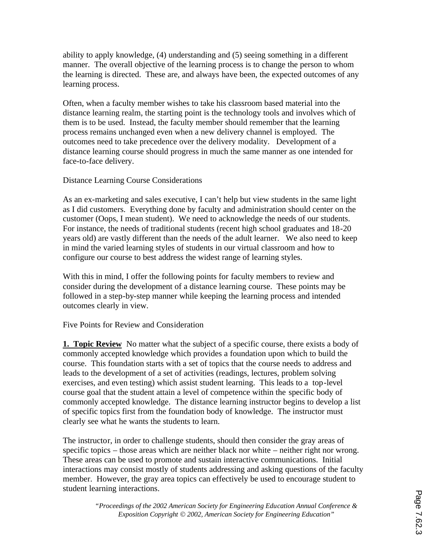ability to apply knowledge, (4) understanding and (5) seeing something in a different manner. The overall objective of the learning process is to change the person to whom the learning is directed. These are, and always have been, the expected outcomes of any learning process.

Often, when a faculty member wishes to take his classroom based material into the distance learning realm, the starting point is the technology tools and involves which of them is to be used. Instead, the faculty member should remember that the learning process remains unchanged even when a new delivery channel is employed. The outcomes need to take precedence over the delivery modality. Development of a distance learning course should progress in much the same manner as one intended for face-to-face delivery.

# Distance Learning Course Considerations

As an ex-marketing and sales executive, I can't help but view students in the same light as I did customers. Everything done by faculty and administration should center on the customer (Oops, I mean student). We need to acknowledge the needs of our students. For instance, the needs of traditional students (recent high school graduates and 18-20 years old) are vastly different than the needs of the adult learner. We also need to keep in mind the varied learning styles of students in our virtual classroom and how to configure our course to best address the widest range of learning styles.

With this in mind, I offer the following points for faculty members to review and consider during the development of a distance learning course. These points may be followed in a step-by-step manner while keeping the learning process and intended outcomes clearly in view.

# Five Points for Review and Consideration

**1. Topic Review** No matter what the subject of a specific course, there exists a body of commonly accepted knowledge which provides a foundation upon which to build the course. This foundation starts with a set of topics that the course needs to address and leads to the development of a set of activities (readings, lectures, problem solving exercises, and even testing) which assist student learning. This leads to a top-level course goal that the student attain a level of competence within the specific body of commonly accepted knowledge. The distance learning instructor begins to develop a list of specific topics first from the foundation body of knowledge. The instructor must clearly see what he wants the students to learn.

The instructor, in order to challenge students, should then consider the gray areas of specific topics – those areas which are neither black nor white – neither right nor wrong. These areas can be used to promote and sustain interactive communications. Initial interactions may consist mostly of students addressing and asking questions of the faculty member. However, the gray area topics can effectively be used to encourage student to student learning interactions.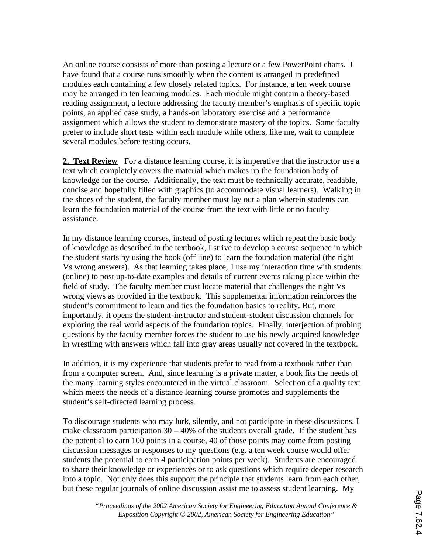An online course consists of more than posting a lecture or a few PowerPoint charts. I have found that a course runs smoothly when the content is arranged in predefined modules each containing a few closely related topics. For instance, a ten week course may be arranged in ten learning modules. Each module might contain a theory-based reading assignment, a lecture addressing the faculty member's emphasis of specific topic points, an applied case study, a hands-on laboratory exercise and a performance assignment which allows the student to demonstrate mastery of the topics. Some faculty prefer to include short tests within each module while others, like me, wait to complete several modules before testing occurs.

2. Text Review For a distance learning course, it is imperative that the instructor use a text which completely covers the material which makes up the foundation body of knowledge for the course. Additionally, the text must be technically accurate, readable, concise and hopefully filled with graphics (to accommodate visual learners). Walking in the shoes of the student, the faculty member must lay out a plan wherein students can learn the foundation material of the course from the text with little or no faculty assistance.

In my distance learning courses, instead of posting lectures which repeat the basic body of knowledge as described in the textbook, I strive to develop a course sequence in which the student starts by using the book (off line) to learn the foundation material (the right Vs wrong answers). As that learning takes place, I use my interaction time with students (online) to post up-to-date examples and details of current events taking place within the field of study. The faculty member must locate material that challenges the right Vs wrong views as provided in the textbook. This supplemental information reinforces the student's commitment to learn and ties the foundation basics to reality. But, more importantly, it opens the student-instructor and student-student discussion channels for exploring the real world aspects of the foundation topics. Finally, interjection of probing questions by the faculty member forces the student to use his newly acquired knowledge in wrestling with answers which fall into gray areas usually not covered in the textbook.

In addition, it is my experience that students prefer to read from a textbook rather than from a computer screen. And, since learning is a private matter, a book fits the needs of the many learning styles encountered in the virtual classroom. Selection of a quality text which meets the needs of a distance learning course promotes and supplements the student's self-directed learning process.

To discourage students who may lurk, silently, and not participate in these discussions, I make classroom participation  $30 - 40\%$  of the students overall grade. If the student has the potential to earn 100 points in a course, 40 of those points may come from posting discussion messages or responses to my questions (e.g. a ten week course would offer students the potential to earn 4 participation points per week). Students are encouraged to share their knowledge or experiences or to ask questions which require deeper research into a topic. Not only does this support the principle that students learn from each other, but these regular journals of online discussion assist me to assess student learning. My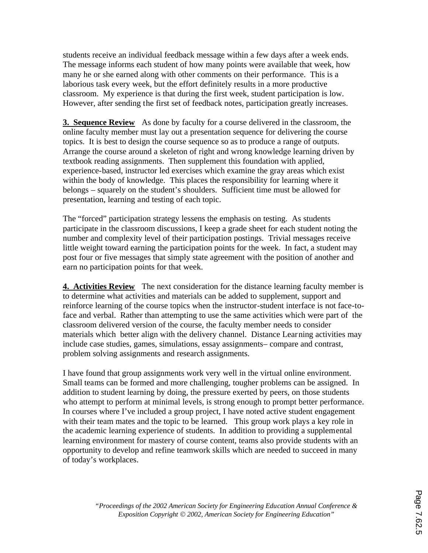students receive an individual feedback message within a few days after a week ends. The message informs each student of how many points were available that week, how many he or she earned along with other comments on their performance. This is a laborious task every week, but the effort definitely results in a more productive classroom. My experience is that during the first week, student participation is low. However, after sending the first set of feedback notes, participation greatly increases.

**3. Sequence Review** As done by faculty for a course delivered in the classroom, the online faculty member must lay out a presentation sequence for delivering the course topics. It is best to design the course sequence so as to produce a range of outputs. Arrange the course around a skeleton of right and wrong knowledge learning driven by textbook reading assignments. Then supplement this foundation with applied, experience-based, instructor led exercises which examine the gray areas which exist within the body of knowledge. This places the responsibility for learning where it belongs – squarely on the student's shoulders. Sufficient time must be allowed for presentation, learning and testing of each topic.

The "forced" participation strategy lessens the emphasis on testing. As students participate in the classroom discussions, I keep a grade sheet for each student noting the number and complexity level of their participation postings. Trivial messages receive little weight toward earning the participation points for the week. In fact, a student may post four or five messages that simply state agreement with the position of another and earn no participation points for that week.

**4. Activities Review** The next consideration for the distance learning faculty member is to determine what activities and materials can be added to supplement, support and reinforce learning of the course topics when the instructor-student interface is not face-toface and verbal. Rather than attempting to use the same activities which were part of the classroom delivered version of the course, the faculty member needs to consider materials which better align with the delivery channel. Distance Learning activities may include case studies, games, simulations, essay assignments– compare and contrast, problem solving assignments and research assignments.

I have found that group assignments work very well in the virtual online environment. Small teams can be formed and more challenging, tougher problems can be assigned. In addition to student learning by doing, the pressure exerted by peers, on those students who attempt to perform at minimal levels, is strong enough to prompt better performance. In courses where I've included a group project, I have noted active student engagement with their team mates and the topic to be learned. This group work plays a key role in the academic learning experience of students. In addition to providing a supplemental learning environment for mastery of course content, teams also provide students with an opportunity to develop and refine teamwork skills which are needed to succeed in many of today's workplaces.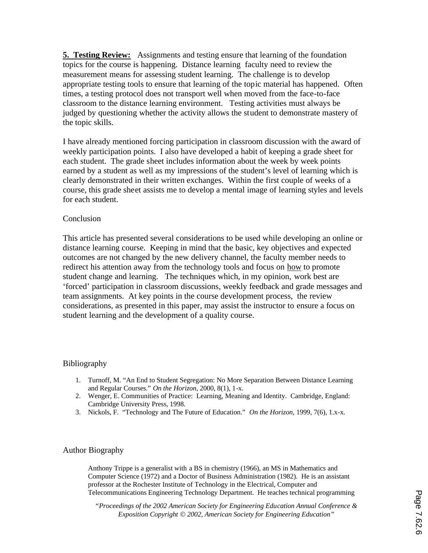**5. Testing Review:** Assignments and testing ensure that learning of the foundation topics for the course is happening. Distance learning faculty need to review the measurement means for assessing student learning. The challenge is to develop appropriate testing tools to ensure that learning of the topic material has happened. Often times, a testing protocol does not transport well when moved from the face-to-face classroom to the distance learning environment. Testing activities must always be judged by questioning whether the activity allows the student to demonstrate mastery of the topic skills.

I have already mentioned forcing participation in classroom discussion with the award of weekly participation points. I also have developed a habit of keeping a grade sheet for each student. The grade sheet includes information about the week by week points earned by a student as well as my impressions of the student's level of learning which is clearly demonstrated in their written exchanges. Within the first couple of weeks of a course, this grade sheet assists me to develop a mental image of learning styles and levels for each student.

# Conclusion

This article has presented several considerations to be used while developing an online or distance learning course. Keeping in mind that the basic, key objectives and expected outcomes are not changed by the new delivery channel, the faculty member needs to redirect his attention away from the technology tools and focus on how to promote student change and learning. The techniques which, in my opinion, work best are 'forced' participation in classroom discussions, weekly feedback and grade messages and team assignments. At key points in the course development process, the review considerations, as presented in this paper, may assist the instructor to ensure a focus on student learning and the development of a quality course.

# Bibliography

- 1. Turnoff, M. "An End to Student Segregation: No More Separation Between Distance Learning and Regular Courses." *On the Horizon*, 2000, 8(1), 1-x.
- 2. Wenger, E. Communities of Practice: Learning, Meaning and Identity. Cambridge, England: Cambridge University Press, 1998.
- 3. Nickols, F. "Technology and The Future of Education." *On the Horizon*, 1999, 7(6), 1.x-x.

# Author Biography

Anthony Trippe is a generalist with a BS in chemistry (1966), an MS in Mathematics and Computer Science (1972) and a Doctor of Business Administration (1982). He is an assistant professor at the Rochester Institute of Technology in the Electrical, Computer and Telecommunications Engineering Technology Department. He teaches technical programming